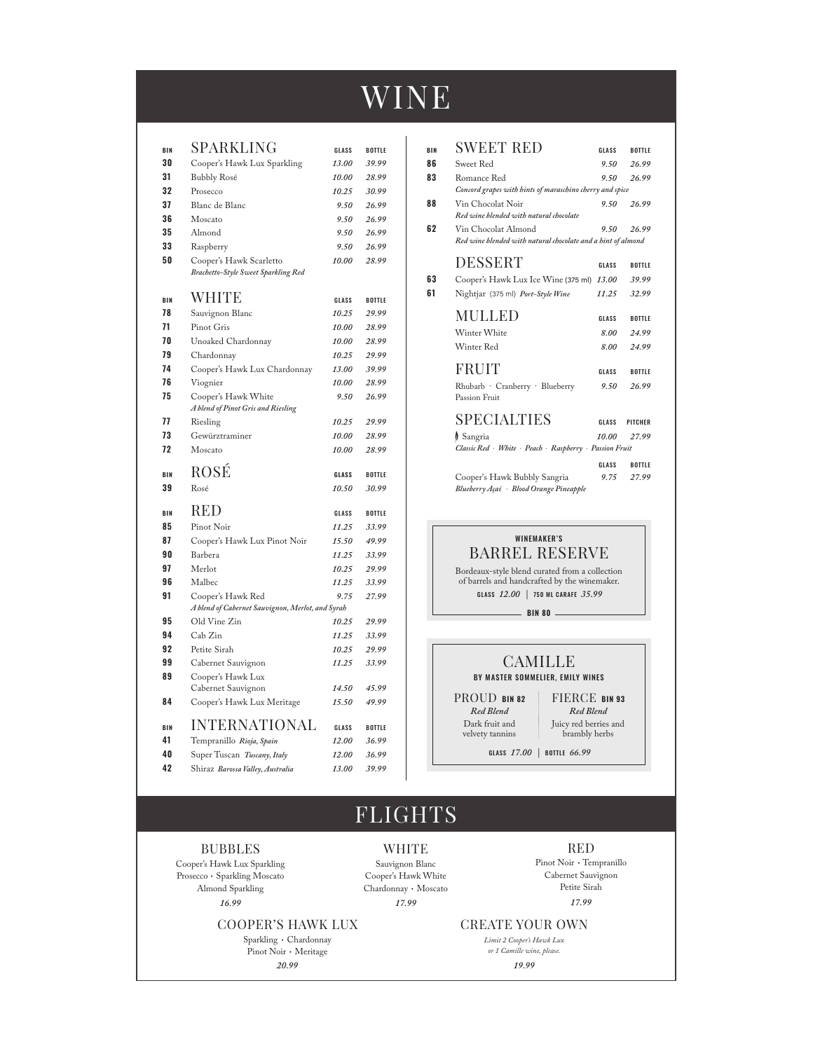# WINE

| BIN      | SPARKLING                                                       | GLASS          | <b>BOTTLE</b>  |
|----------|-----------------------------------------------------------------|----------------|----------------|
| 30       | Cooper's Hawk Lux Sparkling                                     | 13.00          | 39.99          |
| 31       | <b>Bubbly Rosé</b>                                              | 10.00          | 28.99          |
| 32       | Prosecco                                                        | 10.25          | 30.99          |
| 37       | Blanc de Blanc                                                  | 9.50           | 26.99          |
| 36       | Moscato                                                         | 9.50           | 26.99          |
| 35       | Almond                                                          | 9.50           | 26.99          |
| 33       | Raspberry                                                       | 9.50           | 26.99          |
| 50       | Cooper's Hawk Scarletto                                         | 10.00          | 28.99          |
|          | Brachetto-Style Sweet Sparkling Red                             |                |                |
| BIN      | <b>WHITE</b>                                                    | GLASS          | <b>BOTTLE</b>  |
| 78       | Sauvignon Blanc                                                 | 10.25          | 29.99          |
| 71       | Pinot Gris                                                      | 10.00          | 28.99          |
| 70       | Unoaked Chardonnay                                              | 10.00          | 28.99          |
| 79       | Chardonnay                                                      | 10.25          | 29.99          |
| 74       | Cooper's Hawk Lux Chardonnay                                    | 13.00          | 39.99          |
| 76       | Viognier                                                        | 10.00          | 28.99          |
| 75       | Cooper's Hawk White                                             | 9.50           | 26.99          |
|          | A blend of Pinot Gris and Riesling                              |                |                |
| 77       | Riesling                                                        | 10.25          | 29.99          |
| 73       | Gewürztraminer                                                  | 10.00          | 28.99          |
| 72       | Moscato                                                         | 10.00          | 28.99          |
|          |                                                                 |                |                |
| BIN      | ROSÉ                                                            | GLASS          | <b>BOTTLE</b>  |
| 39       | Rosé                                                            | 10.50          | 30.99          |
|          |                                                                 |                |                |
| BIN      | RED                                                             | GLASS          | <b>BOTTLE</b>  |
| 85<br>87 | Pinot Noir                                                      | 11.25          | 33.99          |
| 90       | Cooper's Hawk Lux Pinot Noir<br>Barbera                         | 15.50<br>11.25 | 49.99          |
| 97       | Merlot                                                          | 10.25          | 33.99<br>29.99 |
| 96       | Malbec                                                          | 11.25          | 33.99          |
| 91       | Cooper's Hawk Red                                               | 9.75           | 27.99          |
|          | A blend of Cabernet Sauvignon, Merlot, and Syrah                |                |                |
| 95       | Old Vine Zin                                                    | 10.25          | 29.99          |
| 94       | Cab Zin                                                         | 11.25          | 33.99          |
| 92       | Petite Sirah                                                    | 10.25          | 29.99          |
| 99       | Cabernet Sauvignon                                              | 11.25          | 33.99          |
| 89       | Cooper's Hawk Lux                                               | 14.50          | 45.99          |
| 84       | Cabernet Sauvignon<br>Cooper's Hawk Lux Meritage                | 15.50          | 49.99          |
|          |                                                                 |                |                |
| BIN      | <b>INTERNATIONAL</b>                                            | GLASS          | <b>BOTTLE</b>  |
| 41       | Tempranillo Rioja, Spain                                        | 12.00          | 36.99          |
| 40<br>42 | Super Tuscan Tuscany, Italy<br>Shiraz Barossa Valley, Australia | 12.00<br>13.00 | 36.99<br>39.99 |

| BIN | <b>SWEET RED</b>                                             | GLASS | <b>BOTTLE</b>  |  |
|-----|--------------------------------------------------------------|-------|----------------|--|
| 86  | Sweet Red                                                    | 9.50  | 26.99          |  |
| 83  | Romance Red                                                  | 9.50  | 26.99          |  |
|     | Concord grapes with hints of maraschino cherry and spice     |       |                |  |
| 88  | Vin Chocolat Noir                                            | 9.50  | 26.99          |  |
|     | Red wine blended with natural chocolate                      |       |                |  |
| 62  | Vin Chocolat Almond                                          | 9.50  | 26.99          |  |
|     | Red wine blended with natural chocolate and a hint of almond |       |                |  |
|     | <b>DESSERT</b>                                               |       |                |  |
|     |                                                              | GLASS | BOTTLE         |  |
| 63  | Cooper's Hawk Lux Ice Wine (375 ml)                          | 13.00 | 39.99          |  |
| 61  | Nightjar (375 ml) Port-Style Wine                            | 11.25 | 32.99          |  |
|     | <b>MULLED</b>                                                |       |                |  |
|     |                                                              | GLASS | BOTTLE         |  |
|     | Winter White                                                 | 8.00  | 24.99          |  |
|     | Winter Red                                                   | 8.00  | 24.99          |  |
|     |                                                              |       |                |  |
|     | <b>FRUIT</b>                                                 | GLASS | BOTTLE         |  |
|     | Rhubarb · Cranberry · Blueberry                              | 9.50  | 26.99          |  |
|     | Passion Fruit                                                |       |                |  |
|     | <b>SPECIALTIES</b>                                           |       |                |  |
|     |                                                              | GLASS | <b>PITCHER</b> |  |
|     | Sangria                                                      | 10.00 | 27.99          |  |
|     | Classic Red White Peach Raspberry Passion Fruit              |       |                |  |
|     |                                                              | GLASS | <b>BOTTLE</b>  |  |
|     | Cooper's Hawk Bubbly Sangria                                 | 9.75  | 27.99          |  |
|     | Blueberry Açaí Blood Orange Pineapple                        |       |                |  |
|     |                                                              |       |                |  |

WINEMAKER'S BARREL RESERVE

Bordeaux-style blend curated from a collection of barrels and handcrafted by the winemaker. GLASS *12.00 |* 750 ML CARAFE *35.99*

**BIN 80**

| CAMILLE<br>BY MASTER SOMMELIER. EMILY WINES |                                        |  |  |
|---------------------------------------------|----------------------------------------|--|--|
| PROUD BIN 82                                | <b>FIERCE BIN 93</b>                   |  |  |
| Red Blend                                   | Red Blend                              |  |  |
| Dark fruit and<br>velvety tannins           | Juicy red berries and<br>brambly herbs |  |  |

GLASS *17.00 |* BOTTLE *66.99*

Juicy red berries and brambly herbs

## FLIGHTS

#### BUBBLES

Cooper's Hawk Lux Sparkling Prosecco · Sparkling Moscato Almond Sparkling *16.99*

#### COOPER'S HAWK LUX

Sparkling • Chardonnay Pinot Noir • Meritage *20.99*

WHITE Sauvignon Blanc Cooper's Hawk White Chardonnay • Moscato *17.99* 

#### RED

Pinot Noir • Tempranillo Cabernet Sauvignon Petite Sirah *17.99*

CREATE YOUR OWN

*Limit 2 Cooper's Hawk Lux or 1 Camille wine, please. 19.99*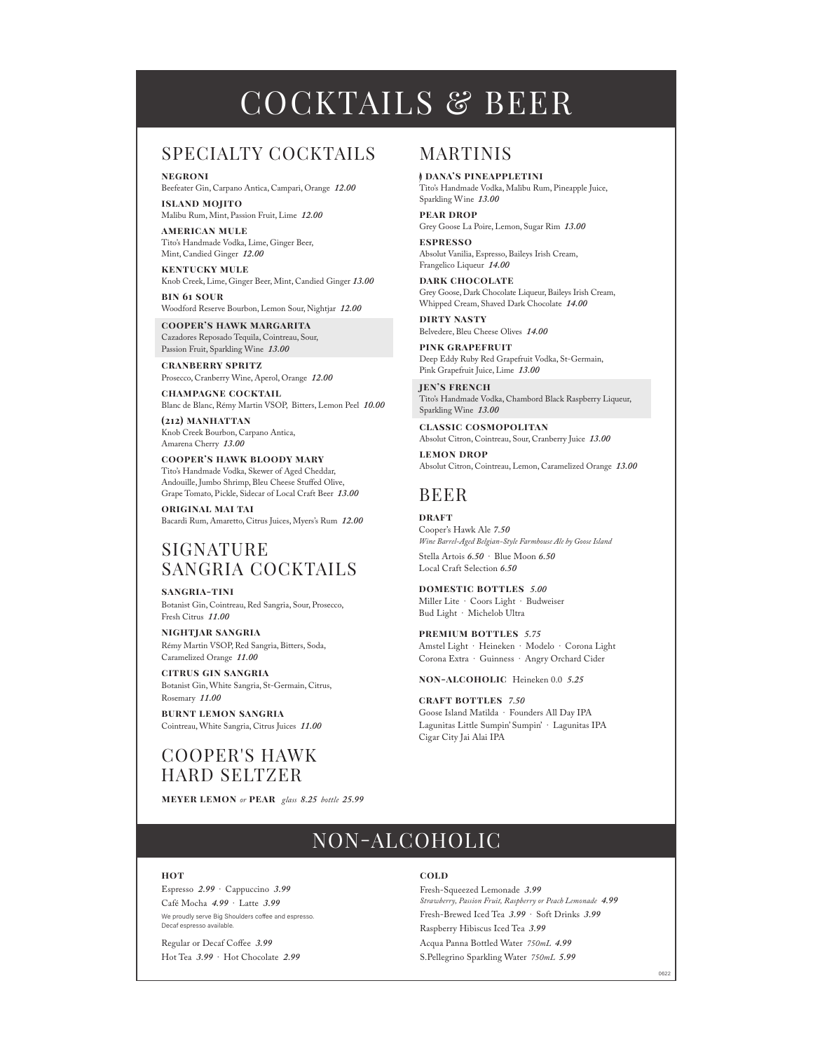# COCKTAILS & BEER

### SPECIALTY COCKTAILS

**negroni** Beefeater Gin, Carpano Antica, Campari, Orange *12.00*

**island mojito** Malibu Rum, Mint, Passion Fruit, Lime *12.00*

**american mule** Tito's Handmade Vodka, Lime, Ginger Beer, Mint, Candied Ginger *12.00*

**kentucky mule** Knob Creek, Lime, Ginger Beer, Mint, Candied Ginger *13.00*

**bin 61 sour** Woodford Reserve Bourbon, Lemon Sour, Nightjar *12.00*

**cooper's hawk margarita** Cazadores Reposado Tequila, Cointreau, Sour, Passion Fruit, Sparkling Wine *13.00*

**cranberry spritz** Prosecco, Cranberry Wine, Aperol, Orange *12.00* 

**champagne cocktail** Blanc de Blanc, Rémy Martin VSOP, Bitters, Lemon Peel *10.00*

**(212) manhattan** Knob Creek Bourbon, Carpano Antica, Amarena Cherry *13.00*

**cooper's hawk bloody mary** Tito's Handmade Vodka, Skewer of Aged Cheddar, Andouille, Jumbo Shrimp, Bleu Cheese Stuffed Olive, Grape Tomato, Pickle, Sidecar of Local Craft Beer *13.00*

**original mai tai** Bacardi Rum, Amaretto, Citrus Juices, Myers's Rum *12.00*

### SIGNATURE SANGRIA COCKTAILS

**sangria-tini** Botanist Gin, Cointreau, Red Sangria, Sour, Prosecco, Fresh Citrus *11.00*

**nightjar sangria** Rémy Martin VSOP, Red Sangria, Bitters, Soda, Caramelized Orange *11.00*

**citrus gin sangria** Botanist Gin, White Sangria, St-Germain, Citrus, Rosemary *11.00*

**burnt lemon sangria** Cointreau, White Sangria, Citrus Juices *11.00*

## COOPER'S HAWK HARD SELTZER

**meyer lemon** *or* **pear** *glass 8.25 bottle 25.99*

### MARTINIS

**i DANA'S PINEAPPLETINI** Tito's Handmade Vodka, Malibu Rum, Pineapple Juice, Sparkling Wine *13.00*

**pear drop** Grey Goose La Poire, Lemon, Sugar Rim *13.00* **espresso**

Absolut Vanilia, Espresso, Baileys Irish Cream, Frangelico Liqueur *14.00*

**dark chocolate** Grey Goose, Dark Chocolate Liqueur, Baileys Irish Cream, Whipped Cream, Shaved Dark Chocolate *14.00*

**dirty nasty** Belvedere, Bleu Cheese Olives *14.00*

**pink grapefruit** Deep Eddy Ruby Red Grapefruit Vodka, St-Germain, Pink Grapefruit Juice, Lime *13.00*

**jen's french** Tito's Handmade Vodka, Chambord Black Raspberry Liqueur, Sparkling Wine *13.00*

**classic cosmopolitan** Absolut Citron, Cointreau, Sour, Cranberry Juice *13.00*

**lemon drop** Absolut Citron, Cointreau, Lemon, Caramelized Orange *13.00*

## BEER

**DRAFT** Cooper's Hawk Ale *7.50 Wine Barrel-Aged Belgian-Style Farmhouse Ale by Goose Island* Stella Artois *6.50* · Blue Moon *6.50* Local Craft Selection *6.50*

**domestic bottles** *5.00* Miller Lite · Coors Light · Budweiser Bud Light · Michelob Ultra

**premium bottles** *5.75* Amstel Light · Heineken · Modelo · Corona Light Corona Extra · Guinness · Angry Orchard Cider

**non-alcoholic** Heineken 0.0 *5.25*

**craft bottles** *7.50* Goose Island Matilda · Founders All Day IPA Lagunitas Little Sumpin' Sumpin' · Lagunitas IPA Cigar City Jai Alai IPA

## NON-ALCOHOLIC

#### **hot**

Espresso *2.99* · Cappuccino *3.99* Café Mocha *4.99* · Latte *3.99* We proudly serve Big Shoulders coffee and espresso. Decaf espresso available.

Regular or Decaf Coffee 3.99 Hot Tea *3.99* · Hot Chocolate *2.99*

#### **cold**

Fresh-Squeezed Lemonade *3.99 Strawberry, Passion Fruit, Raspberry or Peach Lemonade 4.99* Fresh-Brewed Iced Tea *3.99* · Soft Drinks *3.99* Raspberry Hibiscus Iced Tea *3.99* Acqua Panna Bottled Water *750mL 4.99* S.Pellegrino Sparkling Water *750mL 5.99*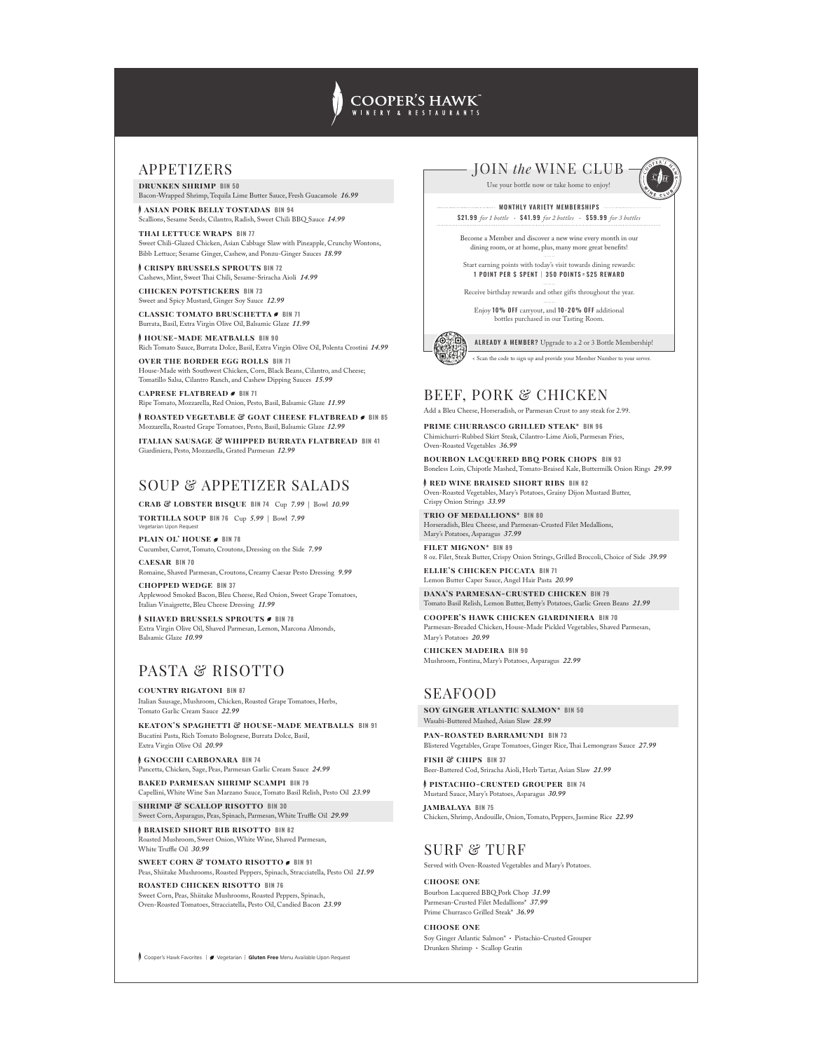## **COOPER'S HAWK**

#### APPETIZERS

**drunken shrimp BIN 50**  Bacon-Wrapped Shrimp, Tequila Lime Butter Sauce, Fresh Guacamole *16.99*

**f** ASIAN PORK BELLY TOSTADAS BIN 94 Scallions, Sesame Seeds, Cilantro, Radish, Sweet Chili BBQ Sauce *14.99* 

**thai lettuce wraps BIN 77** Sweet Chili-Glazed Chicken, Asian Cabbage Slaw with Pineapple, Crunchy Wontons, Bibb Lettuce; Sesame Ginger, Cashew, and Ponzu-Ginger Sauces *18.99*

**f crispy brussels sprouts BIN 72** Cashews, Mint, Sweet "ai Chili, Sesame-Sriracha Aioli *14.99* 

**chicken potstickers BIN 73** Sweet and Spicy Mustard, Ginger Soy Sauce *12.99* 

**CLASSIC TOMATO BRUSCHETTA** BIN 71 Burrata, Basil, Extra Virgin Olive Oil, Balsamic Glaze *11.99*

**h HOUSE-MADE MEATBALLS** BIN 90 Rich Tomato Sauce, Burrata Dolce, Basil, Extra Virgin Olive Oil, Polenta Crostini *14.99* 

**over the border egg rolls BIN 71** House-Made with Southwest Chicken, Corn, Black Beans, Cilantro, and Cheese; Tomatillo Salsa, Cilantro Ranch, and Cashew Dipping Sauces *15.99*

**caprese flatbread BIN 71**

Ripe Tomato, Mozzarella, Red Onion, Pesto, Basil, Balsamic Glaze *11.99* **f** ROASTED VEGETABLE & GOAT CHEESE FLATBREAD *B* BIN 85

Mozzarella, Roasted Grape Tomatoes, Pesto, Basil, Balsamic Glaze *12.99* **italian sausage & whipped burrata flatbread BIN 41** Giardiniera, Pesto, Mozzarella, Grated Parmesan *12.99* 

SOUP & APPETIZER SALADS

**crab & lobster bisque BIN 74** Cup *7.99* | Bowl *10.99* **tortilla soup BIN 76** Cup *5.99* | Bowl *7.99*

Vegetarian Upon Request

**PLAIN OL' HOUSE BIN 78** Cucumber, Carrot, Tomato, Croutons, Dressing on the Side *7.99* **caesar BIN 70**

Romaine, Shaved Parmesan, Croutons, Creamy Caesar Pesto Dressing *9.99*

**chopped wedge BIN 37** Applewood Smoked Bacon, Bleu Cheese, Red Onion, Sweet Grape Tomatoes, Italian Vinaigrette, Bleu Cheese Dressing *11.99*

**f SHAVED BRUSSELS SPROUTS**  $\sigma$  **BIN 78** Extra Virgin Olive Oil, Shaved Parmesan, Lemon, Marcona Almonds, Balsamic Glaze *10.99*

## PASTA & RISOTTO

**country rigatoni BIN 87**

Italian Sausage, Mushroom, Chicken, Roasted Grape Tomatoes, Herbs, Tomato Garlic Cream Sauce *22.99*

**keaton's spaghetti & house-made meatballs BIN 91** Bucatini Pasta, Rich Tomato Bolognese, Burrata Dolce, Basil, Extra Virgin Olive Oil *20.99* 

f **gnocchi carbonara BIN 74** Pancetta, Chicken, Sage, Peas, Parmesan Garlic Cream Sauce *24.99*

**baked parmesan shrimp scampi BIN 79**

Capellini, White Wine San Marzano Sauce, Tomato Basil Relish, Pesto Oil *23.99* **shrimp & scallop risotto BIN 30**

Sweet Corn, Asparagus, Peas, Spinach, Parmesan, White Tru#e Oil *29.99* **f BRAISED SHORT RIB RISOTTO** BIN 82

n, Sweet Onion, White Wine, Shaved Parmesan White Truffle Oil 30.99

**sweet corn & tomato risotto** *s* BIN 91 Peas, Shiitake Mushrooms, Roasted Peppers, Spinach, Stracciatella, Pesto Oil *21.99*

**roasted chicken risotto BIN 76** Sweet Corn, Peas, Shiitake Mushrooms, Roasted Peppers, Spinach, Oven-Roasted Tomatoes, Stracciatella, Pesto Oil, Candied Bacon *23.99*



MONTHLY VARIETY MEMBERSHIPS \$21.99 *for 1 bottle* • \$41.99 *for 2 bottles* • \$59.99 *for 3 bottles* Become a Member and discover a new wine every month in our  $\,$  dining room, or at home, plus, many more great benefits! Start earning points with today's visit towards dining rewards: 1 POINT PER \$ SPENT | 350 POINTS = \$25 REWARD Receive birthday rewards and other gifts throughout the year. Enjoy 10% OFF carryout, and 10-20% OFF additional bottles purchased in our Tasting Room. JOIN *the* WINE CLUB < Scan the code to sign up and provide your Member Number to your server. Use your bottle now or take home to enjoy! ALREADY A MEMBER? Upgrade to a 2 or 3 Bottle Membership!

#### BEEF, PORK & CHICKEN

Add a Bleu Cheese, Horseradish, or Parmesan Crust to any steak for 2.99.

**prime churrasco grilled steak\* BIN 96** Chimichurri-Rubbed Skirt Steak, Cilantro-Lime Aioli, Parmesan Fries, Oven-Roasted Vegetables *36.99* 

**bourbon LACQUERED BBQ PORK CHOPS BIN 93** Boneless Loin, Chipotle Mashed, Tomato-Braised Kale, Buttermilk Onion Rings 29.99

**f** RED WINE BRAISED SHORT RIBS BIN 82 Oven-Roasted Vegetables, Mary's Potatoes, Grainy Dijon Mustard Butter,

**trio of medallions\* BIN 80** Horseradish, Bleu Cheese, and Parmesan-Crusted Filet Medallions,

**filet mignon\* BIN 89** 8 oz. Filet, Steak Butter, Crispy Onion Strings, Grilled Broccoli, Choice of Side *39.99*

**ellie's chicken piccata BIN 71**

Parmesan-Breaded Chicken, House-Made Pickled Vegetables, Shaved Parmesan,

**chicken madeira BIN 90** Mushroom, Fontina, Mary's Potatoes, Asparagus *22.99*

#### SEAFOOD

**soy ginger atlantic salmon\* BIN 50** Wasabi-Buttered Mashed, Asian Slaw *28.99*

**pan-roasted barramundi BIN 73** Blistered Vegetables, Grape Tomatoes, Ginger Rice, "ai Lemongrass Sauce *27.99*

**fish & chips BIN 37**

Beer-Battered Cod, Sriracha Aioli, Herb Tartar, Asian Slaw *21.99*  f **pistachio-crusted grouper BIN 74**

Mustard Sauce, Mary's Potatoes, Asparagus *30.99* **jambalaya BIN 75**

Chicken, Shrimp, Andouille, Onion, Tomato, Peppers, Jasmine Rice *22.99*

#### SURF & TURF

Served with Oven-Roasted Vegetables and Mary's Potatoes.

**choose one** Bourbon Lacquered BBQ Pork Chop *31.99*  Parmesan-Crusted Filet Medallions\* *37.99* Prime Churrasco Grilled Steak\* *36.99*

**choose one** Soy Ginger Atlantic Salmon\* • Pistachio-Crusted Grouper Drunken Shrimp • Scallop Gratin

Boneless Loin, Chipotle Mashed, Toma

Crispy Onion Strings *33.99*

Mary's Potatoes, Asparagus *37.99*

Lemon Butter Caper Sauce, Angel Hair Pasta *20.99*

**dana's parmesan-crusted chicken BIN 79** Tomato Basil Relish, Lemon Butter, Betty's Potatoes, Garlic Green Beans *21.99*

**cooper's hawk chicken giardiniera BIN 70** Mary's Potatoes *20.99*